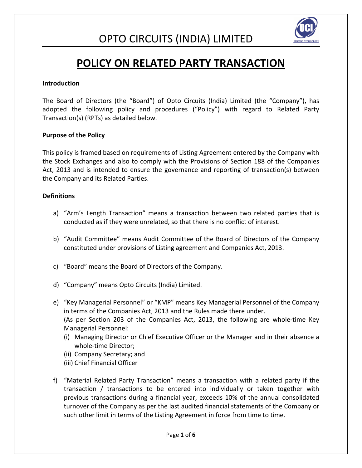

### **POLICY ON RELATED PARTY TRANSACTION**

#### **Introduction**

The Board of Directors (the "Board") of Opto Circuits (India) Limited (the "Company"), has adopted the following policy and procedures ("Policy") with regard to Related Party Transaction(s) (RPTs) as detailed below.

#### **Purpose of the Policy**

This policy is framed based on requirements of Listing Agreement entered by the Company with the Stock Exchanges and also to comply with the Provisions of Section 188 of the Companies Act, 2013 and is intended to ensure the governance and reporting of transaction(s) between the Company and its Related Parties.

#### **Definitions**

- a) "Arm's Length Transaction" means a transaction between two related parties that is conducted as if they were unrelated, so that there is no conflict of interest.
- b) "Audit Committee" means Audit Committee of the Board of Directors of the Company constituted under provisions of Listing agreement and Companies Act, 2013.
- c) "Board" means the Board of Directors of the Company.
- d) "Company" means Opto Circuits (India) Limited.
- e) "Key Managerial Personnel" or "KMP" means Key Managerial Personnel of the Company in terms of the Companies Act, 2013 and the Rules made there under. (As per Section 203 of the Companies Act, 2013, the following are whole-time Key Managerial Personnel:
	- (i) Managing Director or Chief Executive Officer or the Manager and in their absence a whole-time Director;
	- (ii) Company Secretary; and
	- (iii) Chief Financial Officer
- f) "Material Related Party Transaction" means a transaction with a related party if the transaction / transactions to be entered into individually or taken together with previous transactions during a financial year, exceeds 10% of the annual consolidated turnover of the Company as per the last audited financial statements of the Company or such other limit in terms of the Listing Agreement in force from time to time.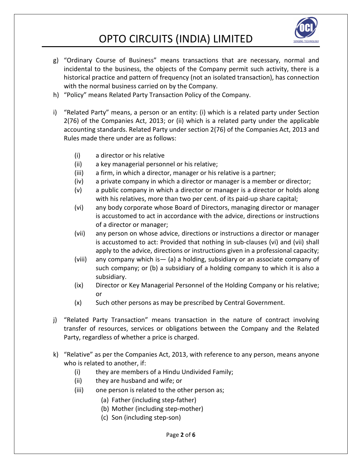

- g) "Ordinary Course of Business" means transactions that are necessary, normal and incidental to the business, the objects of the Company permit such activity, there is a historical practice and pattern of frequency (not an isolated transaction), has connection with the normal business carried on by the Company.
- h) "Policy" means Related Party Transaction Policy of the Company.
- i) "Related Party" means, a person or an entity: (i) which is a related party under Section 2(76) of the Companies Act, 2013; or (ii) which is a related party under the applicable accounting standards. Related Party under section 2(76) of the Companies Act, 2013 and Rules made there under are as follows:
	- (i) a director or his relative
	- (ii) a key managerial personnel or his relative;
	- (iii) a firm, in which a director, manager or his relative is a partner;
	- (iv) a private company in which a director or manager is a member or director;
	- (v) a public company in which a director or manager is a director or holds along with his relatives, more than two per cent. of its paid-up share capital;
	- (vi) any body corporate whose Board of Directors, managing director or manager is accustomed to act in accordance with the advice, directions or instructions of a director or manager;
	- (vii) any person on whose advice, directions or instructions a director or manager is accustomed to act: Provided that nothing in sub-clauses (vi) and (vii) shall apply to the advice, directions or instructions given in a professional capacity;
	- (viii) any company which is— (a) a holding, subsidiary or an associate company of such company; or (b) a subsidiary of a holding company to which it is also a subsidiary.
	- (ix) Director or Key Managerial Personnel of the Holding Company or his relative; or
	- (x) Such other persons as may be prescribed by Central Government.
- j) "Related Party Transaction" means transaction in the nature of contract involving transfer of resources, services or obligations between the Company and the Related Party, regardless of whether a price is charged.
- k) "Relative" as per the Companies Act, 2013, with reference to any person, means anyone who is related to another, if:
	- (i) they are members of a Hindu Undivided Family;
	- (ii) they are husband and wife; or
	- (iii) one person is related to the other person as;
		- (a) Father (including step-father)
		- (b) Mother (including step-mother)
		- (c) Son (including step-son)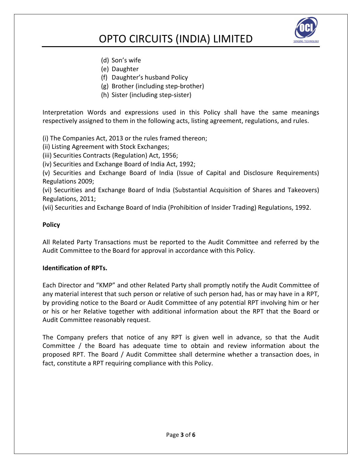

- (d) Son's wife
- (e) Daughter
- (f) Daughter's husband Policy
- (g) Brother (including step-brother)
- (h) Sister (including step-sister)

Interpretation Words and expressions used in this Policy shall have the same meanings respectively assigned to them in the following acts, listing agreement, regulations, and rules.

(i) The Companies Act, 2013 or the rules framed thereon;

(ii) Listing Agreement with Stock Exchanges;

(iii) Securities Contracts (Regulation) Act, 1956;

(iv) Securities and Exchange Board of India Act, 1992;

(v) Securities and Exchange Board of India (Issue of Capital and Disclosure Requirements) Regulations 2009;

(vi) Securities and Exchange Board of India (Substantial Acquisition of Shares and Takeovers) Regulations, 2011;

(vii) Securities and Exchange Board of India (Prohibition of Insider Trading) Regulations, 1992.

#### **Policy**

All Related Party Transactions must be reported to the Audit Committee and referred by the Audit Committee to the Board for approval in accordance with this Policy.

#### **Identification of RPTs.**

Each Director and "KMP" and other Related Party shall promptly notify the Audit Committee of any material interest that such person or relative of such person had, has or may have in a RPT, by providing notice to the Board or Audit Committee of any potential RPT involving him or her or his or her Relative together with additional information about the RPT that the Board or Audit Committee reasonably request.

The Company prefers that notice of any RPT is given well in advance, so that the Audit Committee / the Board has adequate time to obtain and review information about the proposed RPT. The Board / Audit Committee shall determine whether a transaction does, in fact, constitute a RPT requiring compliance with this Policy.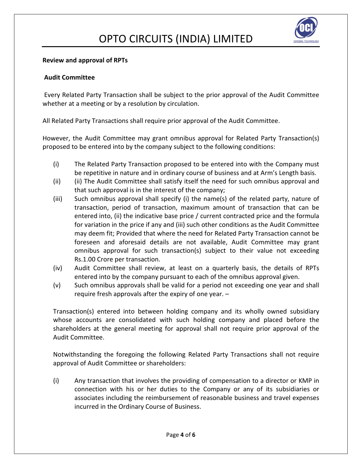

#### **Review and approval of RPTs**

#### **Audit Committee**

 Every Related Party Transaction shall be subject to the prior approval of the Audit Committee whether at a meeting or by a resolution by circulation.

All Related Party Transactions shall require prior approval of the Audit Committee.

However, the Audit Committee may grant omnibus approval for Related Party Transaction(s) proposed to be entered into by the company subject to the following conditions:

- (i) The Related Party Transaction proposed to be entered into with the Company must be repetitive in nature and in ordinary course of business and at Arm's Length basis.
- (ii) (ii) The Audit Committee shall satisfy itself the need for such omnibus approval and that such approval is in the interest of the company;
- (iii) Such omnibus approval shall specify (i) the name(s) of the related party, nature of transaction, period of transaction, maximum amount of transaction that can be entered into, (ii) the indicative base price / current contracted price and the formula for variation in the price if any and (iii) such other conditions as the Audit Committee may deem fit; Provided that where the need for Related Party Transaction cannot be foreseen and aforesaid details are not available, Audit Committee may grant omnibus approval for such transaction(s) subject to their value not exceeding Rs.1.00 Crore per transaction.
- (iv) Audit Committee shall review, at least on a quarterly basis, the details of RPTs entered into by the company pursuant to each of the omnibus approval given.
- (v) Such omnibus approvals shall be valid for a period not exceeding one year and shall require fresh approvals after the expiry of one year. –

Transaction(s) entered into between holding company and its wholly owned subsidiary whose accounts are consolidated with such holding company and placed before the shareholders at the general meeting for approval shall not require prior approval of the Audit Committee.

Notwithstanding the foregoing the following Related Party Transactions shall not require approval of Audit Committee or shareholders:

(i) Any transaction that involves the providing of compensation to a director or KMP in connection with his or her duties to the Company or any of its subsidiaries or associates including the reimbursement of reasonable business and travel expenses incurred in the Ordinary Course of Business.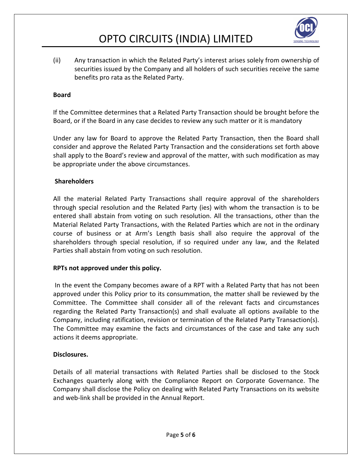

(ii) Any transaction in which the Related Party's interest arises solely from ownership of securities issued by the Company and all holders of such securities receive the same benefits pro rata as the Related Party.

#### **Board**

If the Committee determines that a Related Party Transaction should be brought before the Board, or if the Board in any case decides to review any such matter or it is mandatory

Under any law for Board to approve the Related Party Transaction, then the Board shall consider and approve the Related Party Transaction and the considerations set forth above shall apply to the Board's review and approval of the matter, with such modification as may be appropriate under the above circumstances.

#### **Shareholders**

All the material Related Party Transactions shall require approval of the shareholders through special resolution and the Related Party (ies) with whom the transaction is to be entered shall abstain from voting on such resolution. All the transactions, other than the Material Related Party Transactions, with the Related Parties which are not in the ordinary course of business or at Arm's Length basis shall also require the approval of the shareholders through special resolution, if so required under any law, and the Related Parties shall abstain from voting on such resolution.

#### **RPTs not approved under this policy.**

 In the event the Company becomes aware of a RPT with a Related Party that has not been approved under this Policy prior to its consummation, the matter shall be reviewed by the Committee. The Committee shall consider all of the relevant facts and circumstances regarding the Related Party Transaction(s) and shall evaluate all options available to the Company, including ratification, revision or termination of the Related Party Transaction(s). The Committee may examine the facts and circumstances of the case and take any such actions it deems appropriate.

#### **Disclosures.**

Details of all material transactions with Related Parties shall be disclosed to the Stock Exchanges quarterly along with the Compliance Report on Corporate Governance. The Company shall disclose the Policy on dealing with Related Party Transactions on its website and web-link shall be provided in the Annual Report.